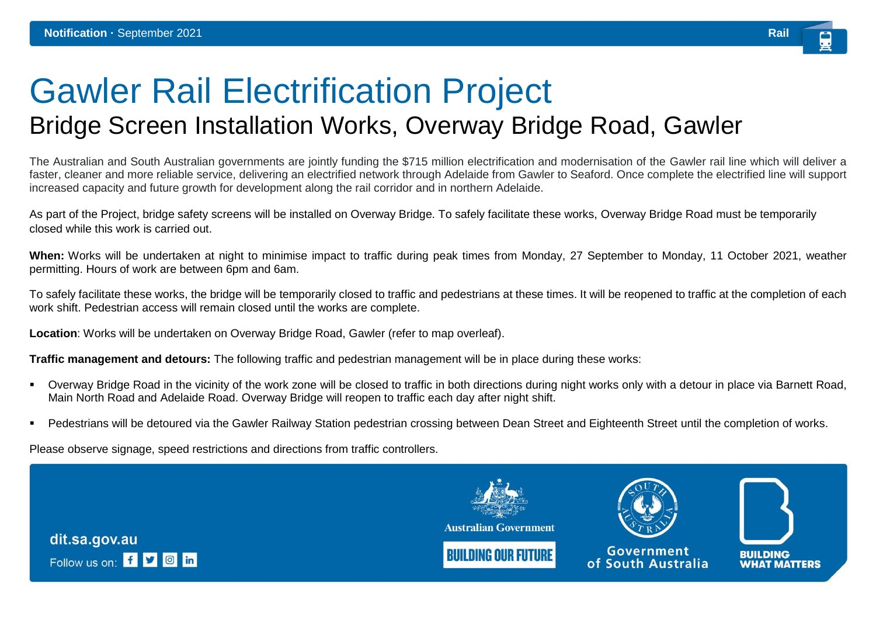## Gawler Rail Electrification Project Bridge Screen Installation Works, Overway Bridge Road, Gawler

The Australian and South Australian governments are jointly funding the \$715 million electrification and modernisation of the Gawler rail line which will deliver a faster, cleaner and more reliable service, delivering an electrified network through Adelaide from Gawler to Seaford. Once complete the electrified line will support increased capacity and future growth for development along the rail corridor and in northern Adelaide.

As part of the Project, bridge safety screens will be installed on Overway Bridge. To safely facilitate these works, Overway Bridge Road must be temporarily closed while this work is carried out.

**When:** Works will be undertaken at night to minimise impact to traffic during peak times from Monday, 27 September to Monday, 11 October 2021, weather permitting. Hours of work are between 6pm and 6am.

To safely facilitate these works, the bridge will be temporarily closed to traffic and pedestrians at these times. It will be reopened to traffic at the completion of each work shift. Pedestrian access will remain closed until the works are complete.

**Location**: Works will be undertaken on Overway Bridge Road, Gawler (refer to map overleaf).

**Traffic management and detours:** The following traffic and pedestrian management will be in place during these works:

- Overway Bridge Road in the vicinity of the work zone will be closed to traffic in both directions during night works only with a detour in place via Barnett Road, Main North Road and Adelaide Road. Overway Bridge will reopen to traffic each day after night shift.
- Pedestrians will be detoured via the Gawler Railway Station pedestrian crossing between Dean Street and Eighteenth Street until the completion of works.

Please observe signage, speed restrictions and directions from traffic controllers.